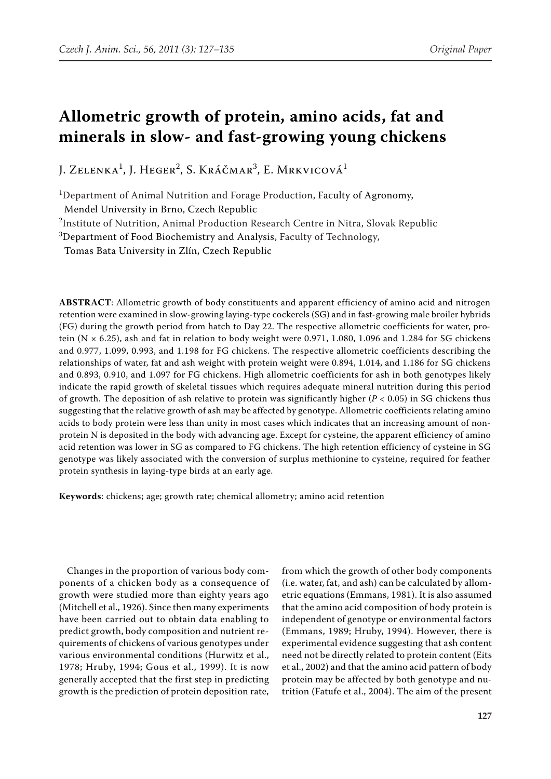# **Allometric growth of protein, amino acids, fat and minerals in slow- and fast-growing young chickens**

J. Zelenka<sup>1</sup>, J. Heger<sup>2</sup>, S. Kráčmar<sup>3</sup>, E. Mrkvicová<sup>1</sup>

<sup>1</sup>Department of Animal Nutrition and Forage Production, Faculty of Agronomy, Mendel University in Brno, Czech Republic

<sup>2</sup>Institute of Nutrition, Animal Production Research Centre in Nitra, Slovak Republic

 ${}^{3}$ Department of Food Biochemistry and Analysis, Faculty of Technology,

Tomas Bata University in Zlín, Czech Republic

**ABSTRACT**: Allometric growth of body constituents and apparent efficiency of amino acid and nitrogen retention were examined in slow-growing laying-type cockerels (SG) and in fast-growing male broiler hybrids (FG) during the growth period from hatch to Day 22. The respective allometric coefficients for water, protein (N  $\times$  6.25), ash and fat in relation to body weight were 0.971, 1.080, 1.096 and 1.284 for SG chickens and 0.977, 1.099, 0.993, and 1.198 for FG chickens. The respective allometric coefficients describing the relationships of water, fat and ash weight with protein weight were 0.894, 1.014, and 1.186 for SG chickens and 0.893, 0.910, and 1.097 for FG chickens. High allometric coefficients for ash in both genotypes likely indicate the rapid growth of skeletal tissues which requires adequate mineral nutrition during this period of growth. The deposition of ash relative to protein was significantly higher (*P* < 0.05) in SG chickens thus suggesting that the relative growth of ash may be affected by genotype. Allometric coefficients relating amino acids to body protein were less than unity in most cases which indicates that an increasing amount of nonprotein N is deposited in the body with advancing age. Except for cysteine, the apparent efficiency of amino acid retention was lower in SG as compared to FG chickens. The high retention efficiency of cysteine in SG genotype was likely associated with the conversion of surplus methionine to cysteine, required for feather protein synthesis in laying-type birds at an early age.

**Keywords**: chickens; age; growth rate; chemical allometry; amino acid retention

Changes in the proportion of various body components of a chicken body as a consequence of growth were studied more than eighty years ago (Mitchell et al., 1926). Since then many experiments have been carried out to obtain data enabling to predict growth, body composition and nutrient requirements of chickens of various genotypes under various environmental conditions (Hurwitz et al., 1978; Hruby, 1994; Gous et al., 1999). It is now generally accepted that the first step in predicting growth is the prediction of protein deposition rate,

from which the growth of other body components (i.e. water, fat, and ash) can be calculated by allometric equations (Emmans, 1981). It is also assumed that the amino acid composition of body protein is independent of genotype or environmental factors (Emmans, 1989; Hruby, 1994). However, there is experimental evidence suggesting that ash content need not be directly related to protein content (Eits et al., 2002) and that the amino acid pattern of body protein may be affected by both genotype and nutrition (Fatufe et al., 2004). The aim of the present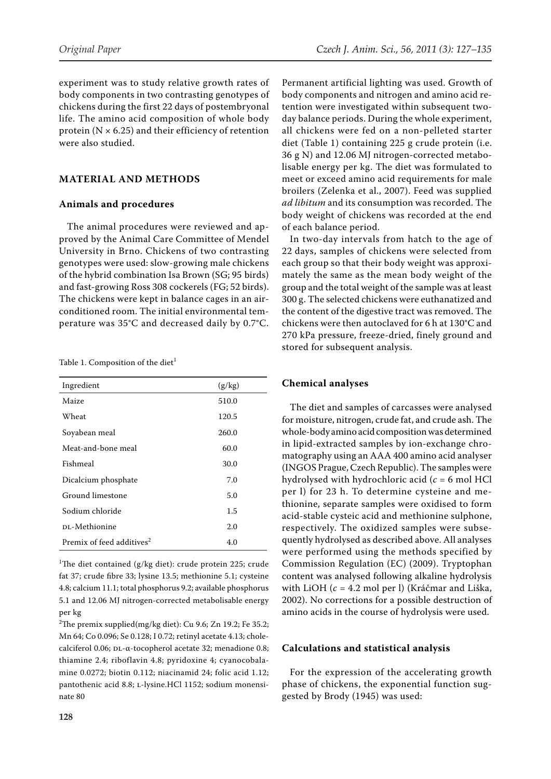experiment was to study relative growth rates of body components in two contrasting genotypes of chickens during the first 22 days of postembryonal life. The amino acid composition of whole body protein ( $N \times 6.25$ ) and their efficiency of retention were also studied.

### **MATERIAL AND METHODS**

#### **Animals and procedures**

The animal procedures were reviewed and approved by the Animal Care Committee of Mendel University in Brno. Chickens of two contrasting genotypes were used: slow-growing male chickens of the hybrid combination Isa Brown (SG; 95 birds) and fast-growing Ross 308 cockerels (FG; 52 birds). The chickens were kept in balance cages in an airconditioned room. The initial environmental temperature was 35°C and decreased daily by 0.7°C.

Table 1. Composition of the diet<sup>1</sup>

| Ingredient                            | (g/kg) |
|---------------------------------------|--------|
| Maize                                 | 510.0  |
| Wheat                                 | 120.5  |
| Soyabean meal                         | 260.0  |
| Meat-and-bone meal                    | 60.0   |
| Fishmeal                              | 30.0   |
| Dicalcium phosphate                   | 7.0    |
| Ground limestone                      | 5.0    |
| Sodium chloride                       | 1.5    |
| DL-Methionine                         | 2.0    |
| Premix of feed additives <sup>2</sup> | 4.0    |

<sup>1</sup>The diet contained (g/kg diet): crude protein 225; crude fat 37; crude fibre 33; lysine 13.5; methionine 5.1; cysteine 4.8; calcium 11.1; total phosphorus 9.2; available phosphorus 5.1 and 12.06 MJ nitrogen-corrected metabolisable energy per kg

<sup>2</sup>The premix supplied(mg/kg diet): Cu 9.6; Zn 19.2; Fe 35.2; Mn 64; Co 0.096; Se 0.128; I 0.72; retinyl acetate 4.13; cholecalciferol 0.06; DL-α-tocopherol acetate 32; menadione 0.8; thiamine 2.4; riboflavin 4.8; pyridoxine 4; cyanocobalamine 0.0272; biotin 0.112; niacinamid 24; folic acid 1.12; pantothenic acid 8.8; L-lysine.HCl 1152; sodium monensinate 80

Permanent artificial lighting was used. Growth of body components and nitrogen and amino acid retention were investigated within subsequent twoday balance periods. During the whole experiment, all chickens were fed on a non-pelleted starter diet (Table 1) containing 225 g crude protein (i.e. 36 g N) and 12.06 MJ nitrogen-corrected metabolisable energy per kg. The diet was formulated to meet or exceed amino acid requirements for male broilers (Zelenka et al., 2007). Feed was supplied *ad libitum* and its consumption was recorded. The body weight of chickens was recorded at the end of each balance period.

In two-day intervals from hatch to the age of 22 days, samples of chickens were selected from each group so that their body weight was approximately the same as the mean body weight of the group and the total weight of the sample was at least 300 g. The selected chickens were euthanatized and the content of the digestive tract was removed. The chickens were then autoclaved for 6 h at 130°C and 270 kPa pressure, freeze-dried, finely ground and stored for subsequent analysis.

#### **Chemical analyses**

The diet and samples of carcasses were analysed for moisture, nitrogen, crude fat, and crude ash. The whole-body amino acid composition was determined in lipid-extracted samples by ion-exchange chromatography using an AAA 400 amino acid analyser (INGOS Prague, Czech Republic). The samples were hydrolysed with hydrochloric acid (*c* = 6 mol HCl per l) for 23 h. To determine cysteine and methionine, separate samples were oxidised to form acid-stable cysteic acid and methionine sulphone, respectively. The oxidized samples were subsequently hydrolysed as described above. All analyses were performed using the methods specified by Commission Regulation (EC) (2009). Tryptophan content was analysed following alkaline hydrolysis with LiOH (*c* = 4.2 mol per l) (Kráčmar and Liška, 2002). No corrections for a possible destruction of amino acids in the course of hydrolysis were used.

#### **Calculations and statistical analysis**

For the expression of the accelerating growth phase of chickens, the exponential function suggested by Brody (1945) was used: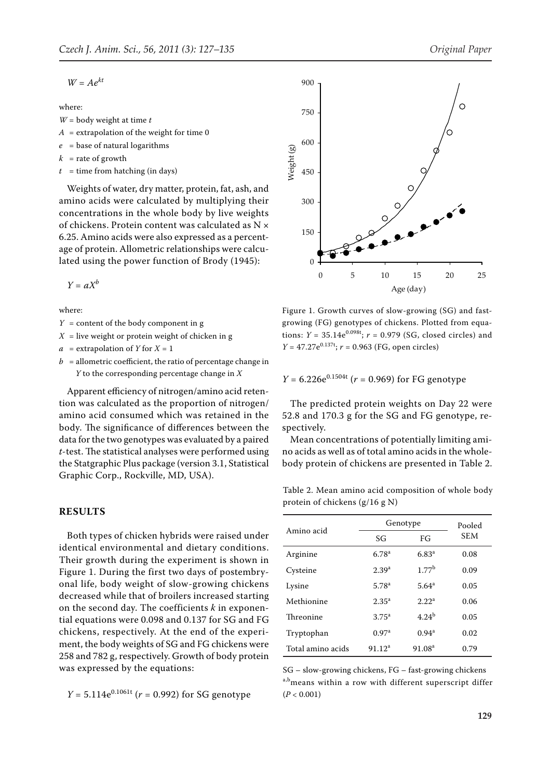$$
W=Ae^{kt}
$$

where:

- *W* = body weight at time *t*
- $A =$  extrapolation of the weight for time 0
- $e =$ base of natural logarithms
- $k =$  rate of growth
- $t =$  time from hatching (in days)

Weights of water, dry matter, protein, fat, ash, and amino acids were calculated by multiplying their concentrations in the whole body by live weights of chickens. Protein content was calculated as N × 6.25. Amino acids were also expressed as a percentage of protein. Allometric relationships were calculated using the power function of Brody (1945):

 $Y = aX^b$ 

where:

- $Y =$  content of the body component in g
- $X =$  live weight or protein weight of chicken in g
- $a =$  extrapolation of *Y* for  $X = 1$
- $b =$  allometric coefficient, the ratio of percentage change in *Y* to the corresponding percentage change in *X*

Apparent efficiency of nitrogen/amino acid retention was calculated as the proportion of nitrogen/ amino acid consumed which was retained in the body. The significance of differences between the data for the two genotypes was evaluated by a paired *t*-test. The statistical analyses were performed using the Statgraphic Plus package (version 3.1, Statistical Graphic Corp., Rockville, MD, USA).

#### **RESULTS**

Both types of chicken hybrids were raised under identical environmental and dietary conditions. Their growth during the experiment is shown in Figure 1. During the first two days of postembryonal life, body weight of slow-growing chickens decreased while that of broilers increased starting on the second day. The coefficients *k* in exponential equations were 0.098 and 0.137 for SG and FG chickens, respectively. At the end of the experiment, the body weights of SG and FG chickens were 258 and 782 g, respectively. Growth of body protein was expressed by the equations:

 $Y = 5.114e^{0.1061t}$  ( $r = 0.992$ ) for SG genotype



Figure 1. Growth curves of slow-growing (SG) and fastgrowing (FG) genotypes of chickens. Plotted from equations:  $Y = 35.14e^{0.098t}$ ;  $r = 0.979$  (SG, closed circles) and  $Y = 47.27e^{0.137t}$ ;  $r = 0.963$  (FG, open circles) 0 5 10 15 20 25 Age (day)

 $\Omega$ 

150

300

450

Weight (g)

600

750

900

 $Y = 6.226e^{0.1504t}$  ( $r = 0.969$ ) for FG genotype

The predicted protein weights on Day 22 were 52.8 and 170.3 g for the SG and FG genotype, respectively.

Mean concentrations of potentially limiting amino acids as well as of total amino acids in the wholebody protein of chickens are presented in Table 2.

Table 2. Mean amino acid composition of whole body protein of chickens (g/16 g N)

|                   | Genotype           | Pooled             |      |
|-------------------|--------------------|--------------------|------|
| Amino acid        | SG                 | FG                 | SEM  |
| Arginine          | 6.78 <sup>a</sup>  | $6.83^{a}$         | 0.08 |
| Cysteine          | $2.39^{a}$         | 1.77 <sup>b</sup>  | 0.09 |
| Lysine            | 5.78 <sup>a</sup>  | 5.64 <sup>a</sup>  | 0.05 |
| Methionine        | 2.35 <sup>a</sup>  | 2.22 <sup>a</sup>  | 0.06 |
| Threonine         | $3.75^{\circ}$     | 4.24 <sup>b</sup>  | 0.05 |
| Tryptophan        | 0.97 <sup>a</sup>  | 0.94 <sup>a</sup>  | 0.02 |
| Total amino acids | 91.12 <sup>a</sup> | 91.08 <sup>a</sup> | 0.79 |

SG – slow-growing chickens, FG – fast-growing chickens a,b<sub>means</sub> within a row with different superscript differ (*P* < 0.001)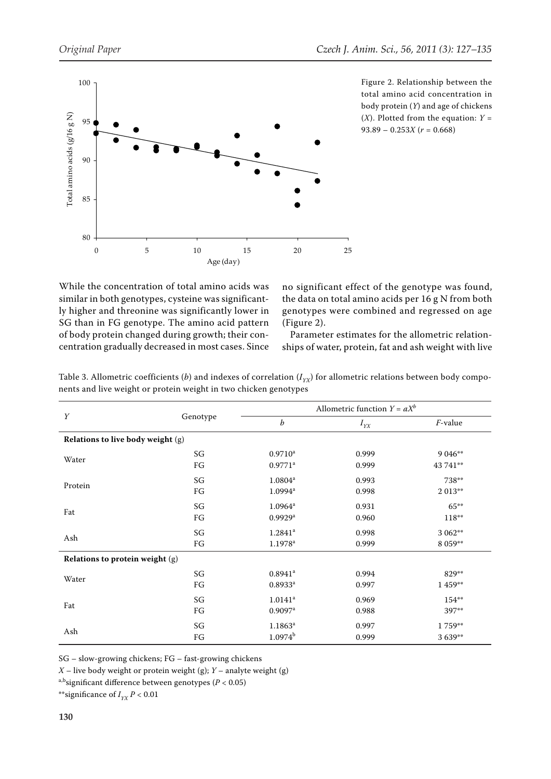

Figure 2. Relationship between the total amino acid concentration in body protein (*Y*) and age of chickens  $(X)$ . Plotted from the equation:  $Y =$ 93.89 – 0.253*X* (*r* = 0.668)

While the concentration of total amino acids was similar in both genotypes, cysteine was significantly higher and threonine was significantly lower in SG than in FG genotype. The amino acid pattern of body protein changed during growth; their concentration gradually decreased in most cases. Since no significant effect of the genotype was found, the data on total amino acids per 16 g N from both genotypes were combined and regressed on age (Figure 2).

Parameter estimates for the allometric relationships of water, protein, fat and ash weight with live

|                                   | Genotype |                       | Allometric function $Y = aX^b$ |            |
|-----------------------------------|----------|-----------------------|--------------------------------|------------|
| Y                                 |          | b                     | $I_{YX}$                       | $F$ -value |
| Relations to live body weight (g) |          |                       |                                |            |
| Water                             | SG       | $0.9710$ <sup>a</sup> | 0.999                          | 9 0 4 6**  |
|                                   | FG       | $0.9771$ <sup>a</sup> | 0.999                          | 43 741**   |
| Protein                           | SG       | $1.0804^{\rm a}$      | 0.993                          | 738**      |
|                                   | FG       | 1.0994 <sup>a</sup>   | 0.998                          | 2 013**    |
| Fat                               | SG       | $1.0964^a$            | 0.931                          | $65***$    |
|                                   | FG       | $0.9929$ <sup>a</sup> | 0.960                          | 118**      |
|                                   | SG       | $1.2841$ <sup>a</sup> | 0.998                          | 3 0 6 2**  |
| Ash                               | FG       | $1.1978$ <sup>a</sup> | 0.999                          | 8 0 59**   |
| Relations to protein weight (g)   |          |                       |                                |            |
| Water                             | SG       | $0.8941$ <sup>a</sup> | 0.994                          | 829**      |
|                                   | FG       | $0.8933$ <sup>a</sup> | 0.997                          | 1 459**    |
| Fat                               | SG       | $1.0141$ <sup>a</sup> | 0.969                          | 154**      |
|                                   | FG       | $0.9097$ <sup>a</sup> | 0.988                          | 397**      |
|                                   | SG       | $1.1863^{\rm a}$      | 0.997                          | 1759**     |
| Ash                               | FG       | $1.0974^{b}$          | 0.999                          | 3 6 39**   |

Table 3. Allometric coefficients (*b*) and indexes of correlation  $(I_{YX})$  for allometric relations between body components and live weight or protein weight in two chicken genotypes

SG – slow-growing chickens; FG – fast-growing chickens

*X* – live body weight or protein weight (g); *Y* – analyte weight (g)

a,bsignificant difference between genotypes (*P* < 0.05)

\*\*significance of  $I_{YY} P < 0.01$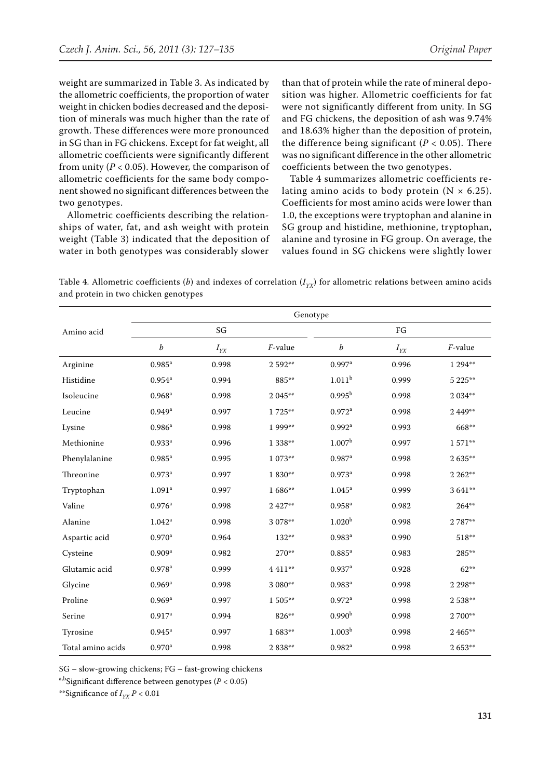weight are summarized in Table 3. As indicated by the allometric coefficients, the proportion of water weight in chicken bodies decreased and the deposition of minerals was much higher than the rate of growth. These differences were more pronounced in SG than in FG chickens. Except for fat weight, all allometric coefficients were significantly different from unity ( $P < 0.05$ ). However, the comparison of allometric coefficients for the same body component showed no significant differences between the two genotypes.

Allometric coefficients describing the relationships of water, fat, and ash weight with protein weight (Table 3) indicated that the deposition of water in both genotypes was considerably slower than that of protein while the rate of mineral deposition was higher. Allometric coefficients for fat were not significantly different from unity. In SG and FG chickens, the deposition of ash was 9.74% and 18.63% higher than the deposition of protein, the difference being significant  $(P < 0.05)$ . There was no significant difference in the other allometric coefficients between the two genotypes.

Table 4 summarizes allometric coefficients relating amino acids to body protein  $(N \times 6.25)$ . Coefficients for most amino acids were lower than 1.0, the exceptions were tryptophan and alanine in SG group and histidine, methionine, tryptophan, alanine and tyrosine in FG group. On average, the values found in SG chickens were slightly lower

Table 4. Allometric coefficients (*b*) and indexes of correlation ( $I_{YX}$ ) for allometric relations between amino acids and protein in two chicken genotypes

|                   | Genotype             |          |            |                      |          |           |  |
|-------------------|----------------------|----------|------------|----------------------|----------|-----------|--|
| Amino acid        |                      | SG       |            |                      | FG       |           |  |
|                   | b                    | $I_{YX}$ | $F$ -value | b                    | $I_{YX}$ | F-value   |  |
| Arginine          | $0.985$ <sup>a</sup> | 0.998    | 2 592**    | $0.997$ <sup>a</sup> | 0.996    | 1 294**   |  |
| Histidine         | $0.954^{\rm a}$      | 0.994    | 885**      | 1.011 <sup>b</sup>   | 0.999    | 5 225**   |  |
| Isoleucine        | $0.968$ <sup>a</sup> | 0.998    | 2 045**    | $0.995^{\rm b}$      | 0.998    | 2 0 3 4** |  |
| Leucine           | $0.949$ <sup>a</sup> | 0.997    | 1725**     | $0.972$ <sup>a</sup> | 0.998    | 2 4 4 9** |  |
| Lysine            | 0.986 <sup>a</sup>   | 0.998    | 1 999**    | $0.992$ <sup>a</sup> | 0.993    | 668**     |  |
| Methionine        | $0.933$ <sup>a</sup> | 0.996    | 1 3 38**   | 1.007 <sup>b</sup>   | 0.997    | 1571**    |  |
| Phenylalanine     | $0.985$ <sup>a</sup> | 0.995    | 1 073**    | $0.987$ <sup>a</sup> | 0.998    | $2635**$  |  |
| Threonine         | $0.973$ <sup>a</sup> | 0.997    | 1 830**    | $0.973$ <sup>a</sup> | 0.998    | 2 2 6 2** |  |
| Tryptophan        | 1.091 <sup>a</sup>   | 0.997    | 1686**     | $1.045^{\rm a}$      | 0.999    | 3 641**   |  |
| Valine            | $0.976$ <sup>a</sup> | 0.998    | 2 4 2 7**  | $0.958^{a}$          | 0.982    | $264***$  |  |
| Alanine           | $1.042^a$            | 0.998    | 3 078**    | 1.020 <sup>b</sup>   | 0.998    | 2 787**   |  |
| Aspartic acid     | $0.970$ <sup>a</sup> | 0.964    | 132**      | $0.983^{a}$          | 0.990    | 518**     |  |
| Cysteine          | 0.909 <sup>a</sup>   | 0.982    | 270**      | $0.885^{a}$          | 0.983    | 285**     |  |
| Glutamic acid     | $0.978$ <sup>a</sup> | 0.999    | 4 4 1 1**  | $0.937$ <sup>a</sup> | 0.928    | $62***$   |  |
| Glycine           | $0.969$ <sup>a</sup> | 0.998    | 3 080**    | $0.983$ <sup>a</sup> | 0.998    | 2 2 9 8** |  |
| Proline           | $0.969$ <sup>a</sup> | 0.997    | 1 505**    | $0.972$ <sup>a</sup> | 0.998    | 2538**    |  |
| Serine            | 0.917 <sup>a</sup>   | 0.994    | 826**      | 0.990 <sup>b</sup>   | 0.998    | 2 700**   |  |
| Tyrosine          | $0.945^{\rm a}$      | 0.997    | 1 683**    | 1.003 <sup>b</sup>   | 0.998    | 2 4 65**  |  |
| Total amino acids | $0.970$ <sup>a</sup> | 0.998    | 2 838**    | $0.982$ <sup>a</sup> | 0.998    | 2 653**   |  |

SG – slow-growing chickens; FG – fast-growing chickens

a,bSignificant difference between genotypes (*P* < 0.05)

\*\*Significance of  $I_{YY} P < 0.01$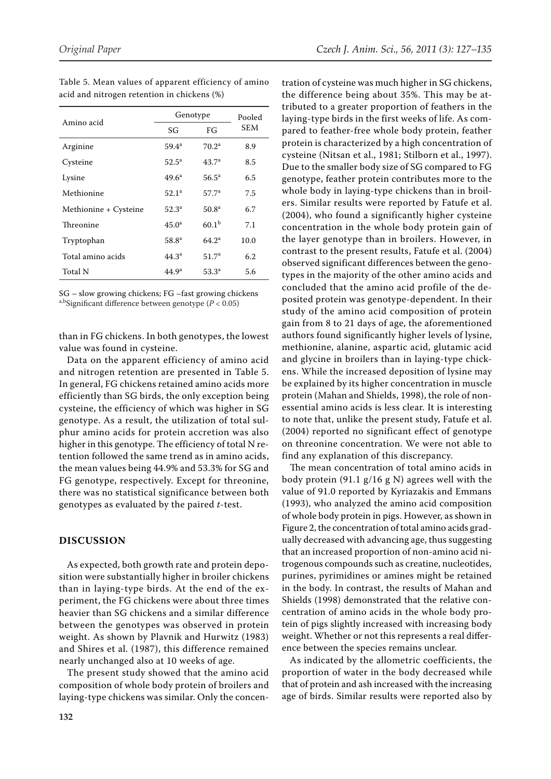| Amino acid            | Genotype          | Pooled            |            |
|-----------------------|-------------------|-------------------|------------|
|                       | SG                | FG                | <b>SEM</b> |
| Arginine              | $59.4^a$          | $70.2^a$          | 8.9        |
| Cysteine              | $52.5^{\circ}$    | 43.7 <sup>a</sup> | 8.5        |
| Lysine                | $49.6^{\circ}$    | $56.5^{\circ}$    | 6.5        |
| Methionine            | 52.1 <sup>a</sup> | 57.7 <sup>a</sup> | 7.5        |
| Methionine + Cysteine | 52.3 <sup>a</sup> | 50.8 <sup>a</sup> | 6.7        |
| Threonine             | 45.0 <sup>a</sup> | 60.1 <sup>b</sup> | 7.1        |
| Tryptophan            | $58.8^{\circ}$    | 64.2 <sup>a</sup> | 10.0       |
| Total amino acids     | $44.3^{\circ}$    | 51.7 <sup>a</sup> | 6.2        |
| Total N               | 44.9 <sup>a</sup> | $53.3^{\circ}$    | 5.6        |

Table 5. Mean values of apparent efficiency of amino acid and nitrogen retention in chickens (%)

SG – slow growing chickens; FG –fast growing chickens a,bSignificant difference between genotype (*P* < 0.05)

than in FG chickens. In both genotypes, the lowest value was found in cysteine.

Data on the apparent efficiency of amino acid and nitrogen retention are presented in Table 5. In general, FG chickens retained amino acids more efficiently than SG birds, the only exception being cysteine, the efficiency of which was higher in SG genotype. As a result, the utilization of total sulphur amino acids for protein accretion was also higher in this genotype. The efficiency of total N retention followed the same trend as in amino acids, the mean values being 44.9% and 53.3% for SG and FG genotype, respectively. Except for threonine, there was no statistical significance between both genotypes as evaluated by the paired *t*-test.

## **DISCUSSION**

As expected, both growth rate and protein deposition were substantially higher in broiler chickens than in laying-type birds. At the end of the experiment, the FG chickens were about three times heavier than SG chickens and a similar difference between the genotypes was observed in protein weight. As shown by Plavnik and Hurwitz (1983) and Shires et al. (1987), this difference remained nearly unchanged also at 10 weeks of age.

The present study showed that the amino acid composition of whole body protein of broilers and laying-type chickens was similar. Only the concen-

tration of cysteine was much higher in SG chickens, the difference being about 35%. This may be attributed to a greater proportion of feathers in the laying-type birds in the first weeks of life. As compared to feather-free whole body protein, feather protein is characterized by a high concentration of cysteine (Nitsan et al., 1981; Stilborn et al., 1997). Due to the smaller body size of SG compared to FG genotype, feather protein contributes more to the whole body in laying-type chickens than in broilers. Similar results were reported by Fatufe et al. (2004), who found a significantly higher cysteine concentration in the whole body protein gain of the layer genotype than in broilers. However, in contrast to the present results, Fatufe et al. (2004) observed significant differences between the genotypes in the majority of the other amino acids and concluded that the amino acid profile of the deposited protein was genotype-dependent. In their study of the amino acid composition of protein gain from 8 to 21 days of age, the aforementioned authors found significantly higher levels of lysine, methionine, alanine, aspartic acid, glutamic acid and glycine in broilers than in laying-type chickens. While the increased deposition of lysine may be explained by its higher concentration in muscle protein (Mahan and Shields, 1998), the role of nonessential amino acids is less clear. It is interesting to note that, unlike the present study, Fatufe et al. (2004) reported no significant effect of genotype on threonine concentration. We were not able to find any explanation of this discrepancy.

The mean concentration of total amino acids in body protein (91.1 g/16 g N) agrees well with the value of 91.0 reported by Kyriazakis and Emmans (1993), who analyzed the amino acid composition of whole body protein in pigs. However, as shown in Figure 2, the concentration of total amino acids gradually decreased with advancing age, thus suggesting that an increased proportion of non-amino acid nitrogenous compounds such as creatine, nucleotides, purines, pyrimidines or amines might be retained in the body. In contrast, the results of Mahan and Shields (1998) demonstrated that the relative concentration of amino acids in the whole body protein of pigs slightly increased with increasing body weight. Whether or not this represents a real difference between the species remains unclear.

As indicated by the allometric coefficients, the proportion of water in the body decreased while that of protein and ash increased with the increasing age of birds. Similar results were reported also by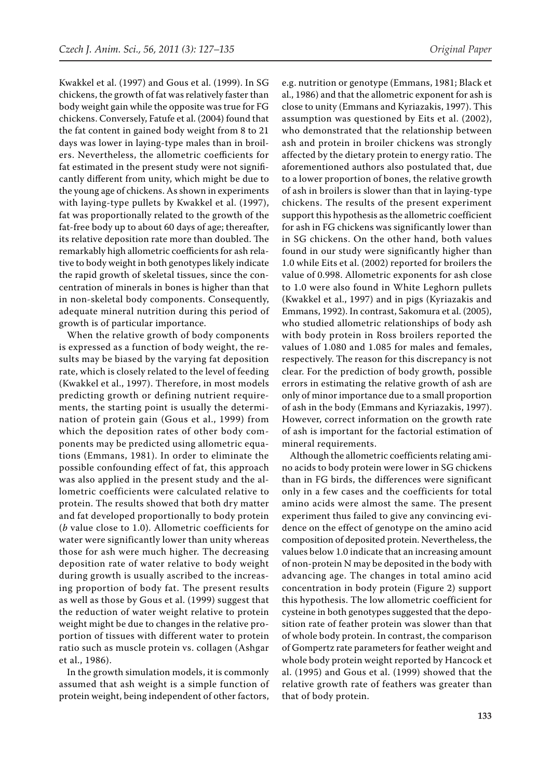Kwakkel et al. (1997) and Gous et al. (1999). In SG chickens, the growth of fat was relatively faster than body weight gain while the opposite was true for FG chickens. Conversely, Fatufe et al. (2004) found that the fat content in gained body weight from 8 to 21 days was lower in laying-type males than in broilers. Nevertheless, the allometric coefficients for fat estimated in the present study were not significantly different from unity, which might be due to the young age of chickens. As shown in experiments with laying-type pullets by Kwakkel et al. (1997), fat was proportionally related to the growth of the fat-free body up to about 60 days of age; thereafter, its relative deposition rate more than doubled. The remarkably high allometric coefficients for ash relative to body weight in both genotypes likely indicate the rapid growth of skeletal tissues, since the concentration of minerals in bones is higher than that in non-skeletal body components. Consequently, adequate mineral nutrition during this period of growth is of particular importance.

When the relative growth of body components is expressed as a function of body weight, the results may be biased by the varying fat deposition rate, which is closely related to the level of feeding (Kwakkel et al., 1997). Therefore, in most models predicting growth or defining nutrient requirements, the starting point is usually the determination of protein gain (Gous et al., 1999) from which the deposition rates of other body components may be predicted using allometric equations (Emmans, 1981). In order to eliminate the possible confounding effect of fat, this approach was also applied in the present study and the allometric coefficients were calculated relative to protein. The results showed that both dry matter and fat developed proportionally to body protein (*b* value close to 1.0). Allometric coefficients for water were significantly lower than unity whereas those for ash were much higher. The decreasing deposition rate of water relative to body weight during growth is usually ascribed to the increasing proportion of body fat. The present results as well as those by Gous et al. (1999) suggest that the reduction of water weight relative to protein weight might be due to changes in the relative proportion of tissues with different water to protein ratio such as muscle protein vs. collagen (Ashgar et al., 1986).

In the growth simulation models, it is commonly assumed that ash weight is a simple function of protein weight, being independent of other factors, e.g. nutrition or genotype (Emmans, 1981; Black et al., 1986) and that the allometric exponent for ash is close to unity (Emmans and Kyriazakis, 1997). This assumption was questioned by Eits et al. (2002), who demonstrated that the relationship between ash and protein in broiler chickens was strongly affected by the dietary protein to energy ratio. The aforementioned authors also postulated that, due to a lower proportion of bones, the relative growth of ash in broilers is slower than that in laying-type chickens. The results of the present experiment support this hypothesis as the allometric coefficient for ash in FG chickens was significantly lower than in SG chickens. On the other hand, both values found in our study were significantly higher than 1.0 while Eits et al. (2002) reported for broilers the value of 0.998. Allometric exponents for ash close to 1.0 were also found in White Leghorn pullets (Kwakkel et al., 1997) and in pigs (Kyriazakis and Emmans, 1992). In contrast, Sakomura et al. (2005), who studied allometric relationships of body ash with body protein in Ross broilers reported the values of 1.080 and 1.085 for males and females, respectively. The reason for this discrepancy is not clear. For the prediction of body growth, possible errors in estimating the relative growth of ash are only of minor importance due to a small proportion of ash in the body (Emmans and Kyriazakis, 1997). However, correct information on the growth rate of ash is important for the factorial estimation of mineral requirements.

Although the allometric coefficients relating amino acids to body protein were lower in SG chickens than in FG birds, the differences were significant only in a few cases and the coefficients for total amino acids were almost the same. The present experiment thus failed to give any convincing evidence on the effect of genotype on the amino acid composition of deposited protein. Nevertheless, the values below 1.0 indicate that an increasing amount of non-protein N may be deposited in the body with advancing age. The changes in total amino acid concentration in body protein (Figure 2) support this hypothesis. The low allometric coefficient for cysteine in both genotypes suggested that the deposition rate of feather protein was slower than that of whole body protein. In contrast, the comparison of Gompertz rate parameters for feather weight and whole body protein weight reported by Hancock et al. (1995) and Gous et al. (1999) showed that the relative growth rate of feathers was greater than that of body protein.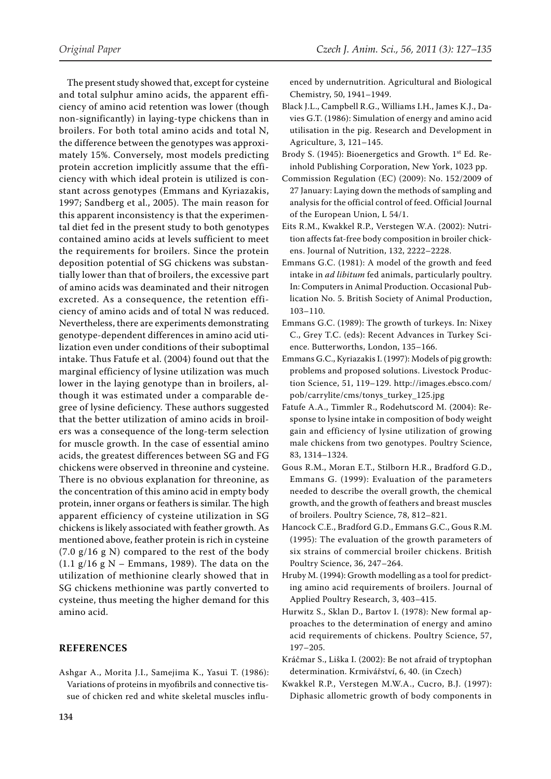*Original Paper Czech J. Anim. Sci., 56, 2011 (3): 127–135* enced by undernutrition. Agricultural and Biological

- Chemistry, 50, 1941–1949. Black J.L., Campbell R.G., Williams I.H., James K.J., Davies G.T. (1986): Simulation of energy and amino acid utilisation in the pig. Research and Development in Agriculture, 3, 121–145.
- Brody S. (1945): Bioenergetics and Growth.  $1<sup>st</sup>$  Ed. Reinhold Publishing Corporation, New York, 1023 pp.
- Commission Regulation (EC) (2009): No. 152/2009 of 27 January: Laying down the methods of sampling and analysis for the official control of feed. Official Journal of the European Union, L 54/1.
- Eits R.M., Kwakkel R.P., Verstegen W.A. (2002): Nutrition affects fat-free body composition in broiler chickens. Journal of Nutrition, 132, 2222–2228.
- Emmans G.C. (1981): A model of the growth and feed intake in *ad libitum* fed animals, particularly poultry. In: Computers in Animal Production. Occasional Publication No. 5. British Society of Animal Production, 103–110.
- Emmans G.C. (1989): The growth of turkeys. In: Nixey C., Grey T.C. (eds): Recent Advances in Turkey Science. Butterworths, London, 135–166.
- Emmans G.C., Kyriazakis I. (1997): Models of pig growth: problems and proposed solutions. Livestock Production Science, 51, 119–129. http://images.ebsco.com/ pob/carrylite/cms/tonys\_turkey\_125.jpg
- Fatufe A.A., Timmler R., Rodehutscord M. (2004): Response to lysine intake in composition of body weight gain and efficiency of lysine utilization of growing male chickens from two genotypes. Poultry Science, 83, 1314–1324.
- Gous R.M., Moran E.T., Stilborn H.R., Bradford G.D., Emmans G. (1999): Evaluation of the parameters needed to describe the overall growth, the chemical growth, and the growth of feathers and breast muscles of broilers. Poultry Science, 78, 812–821.
- Hancock C.E., Bradford G.D., Emmans G.C., Gous R.M. (1995): The evaluation of the growth parameters of six strains of commercial broiler chickens. British Poultry Science, 36, 247–264.
- Hruby M. (1994): Growth modelling as a tool for predicting amino acid requirements of broilers. Journal of Applied Poultry Research, 3, 403–415.
- Hurwitz S., Sklan D., Bartov I. (1978): New formal approaches to the determination of energy and amino acid requirements of chickens. Poultry Science, 57, 197–205.
- Kráčmar S., Liška I. (2002): Be not afraid of tryptophan determination. Krmivářství, 6, 40. (in Czech)
- Kwakkel R.P., Verstegen M.W.A., Cucro, B.J. (1997): Diphasic allometric growth of body components in

ciency of amino acid retention was lower (though non-significantly) in laying-type chickens than in broilers. For both total amino acids and total N, the difference between the genotypes was approximately 15%. Conversely, most models predicting protein accretion implicitly assume that the efficiency with which ideal protein is utilized is constant across genotypes (Emmans and Kyriazakis, 1997; Sandberg et al., 2005). The main reason for this apparent inconsistency is that the experimental diet fed in the present study to both genotypes contained amino acids at levels sufficient to meet the requirements for broilers. Since the protein deposition potential of SG chickens was substantially lower than that of broilers, the excessive part of amino acids was deaminated and their nitrogen excreted. As a consequence, the retention efficiency of amino acids and of total N was reduced. Nevertheless, there are experiments demonstrating genotype-dependent differences in amino acid utilization even under conditions of their suboptimal intake. Thus Fatufe et al. (2004) found out that the marginal efficiency of lysine utilization was much lower in the laying genotype than in broilers, although it was estimated under a comparable degree of lysine deficiency. These authors suggested that the better utilization of amino acids in broilers was a consequence of the long-term selection for muscle growth. In the case of essential amino acids, the greatest differences between SG and FG chickens were observed in threonine and cysteine. There is no obvious explanation for threonine, as the concentration of this amino acid in empty body protein, inner organs or feathers is similar. The high apparent efficiency of cysteine utilization in SG chickens is likely associated with feather growth. As mentioned above, feather protein is rich in cysteine  $(7.0 \text{ g}/16 \text{ g N})$  compared to the rest of the body  $(1.1 \text{ g}/16 \text{ g N} -$  Emmans, 1989). The data on the utilization of methionine clearly showed that in SG chickens methionine was partly converted to cysteine, thus meeting the higher demand for this amino acid.

The present study showed that, except for cysteine and total sulphur amino acids, the apparent effi-

# **REFERENCES**

Ashgar A., Morita J.I., Samejima K., Yasui T. (1986): Variations of proteins in myofibrils and connective tissue of chicken red and white skeletal muscles influ